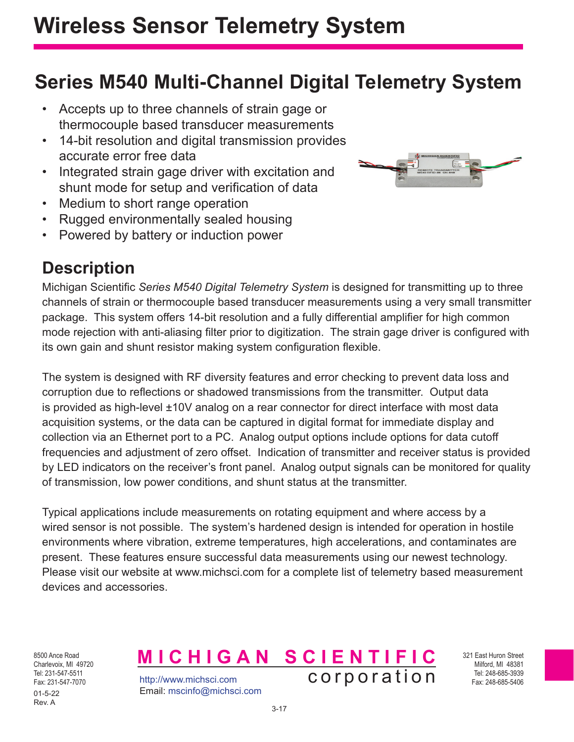## **Series M540 Multi-Channel Digital Telemetry System**

- Accepts up to three channels of strain gage or thermocouple based transducer measurements
- 14-bit resolution and digital transmission provides accurate error free data
- Integrated strain gage driver with excitation and shunt mode for setup and verification of data
- Medium to short range operation
- Rugged environmentally sealed housing
- Powered by battery or induction power

## **Description**



Michigan Scientific *Series M540 Digital Telemetry System* is designed for transmitting up to three channels of strain or thermocouple based transducer measurements using a very small transmitter package. This system offers 14-bit resolution and a fully differential amplifier for high common mode rejection with anti-aliasing filter prior to digitization. The strain gage driver is configured with its own gain and shunt resistor making system configuration flexible.

The system is designed with RF diversity features and error checking to prevent data loss and corruption due to reflections or shadowed transmissions from the transmitter. Output data is provided as high-level ±10V analog on a rear connector for direct interface with most data acquisition systems, or the data can be captured in digital format for immediate display and collection via an Ethernet port to a PC. Analog output options include options for data cutoff frequencies and adjustment of zero offset. Indication of transmitter and receiver status is provided by LED indicators on the receiver's front panel. Analog output signals can be monitored for quality of transmission, low power conditions, and shunt status at the transmitter.

Typical applications include measurements on rotating equipment and where access by a wired sensor is not possible. The system's hardened design is intended for operation in hostile environments where vibration, extreme temperatures, high accelerations, and contaminates are present. These features ensure successful data measurements using our newest technology. Please visit our website at www.michsci.com for a complete list of telemetry based measurement devices and accessories.

8500 Ance Road Charlevoix, MI 49720 Tel: 231-547-5511 Fax: 231-547-7070 01-5-22 Rev. A

http://www.michsci.com Email: mscinfo@michsci.com **MICHIGAN SCIENTIFIC** corporation

321 East Huron Street Milford, MI 48381 Tel: 248-685-3939 Fax: 248-685-5406